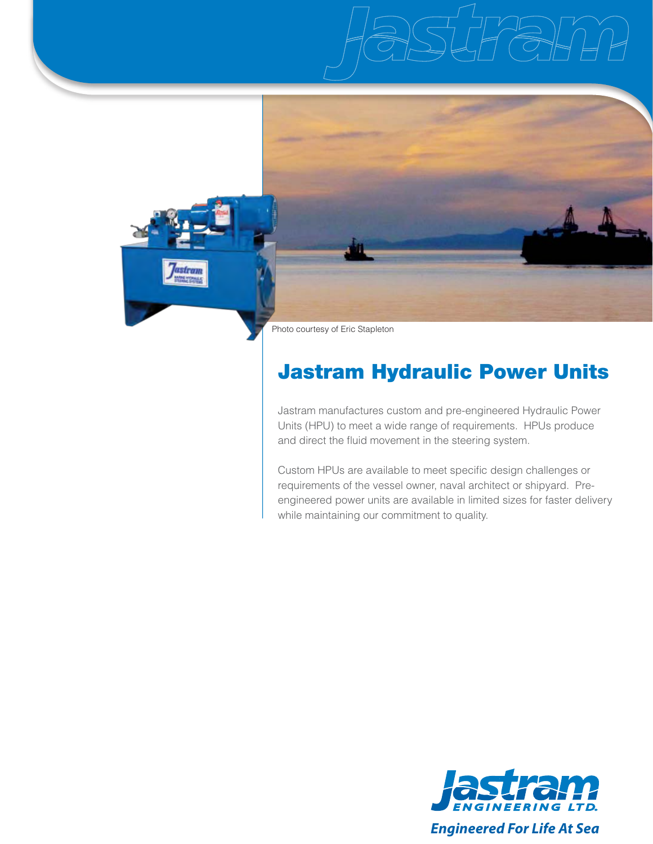



# Jastram Hydraulic Power Units

Jastram manufactures custom and pre-engineered Hydraulic Power Units (HPU) to meet a wide range of requirements. HPUs produce and direct the fluid movement in the steering system.

Custom HPUs are available to meet specific design challenges or requirements of the vessel owner, naval architect or shipyard. Preengineered power units are available in limited sizes for faster delivery while maintaining our commitment to quality.

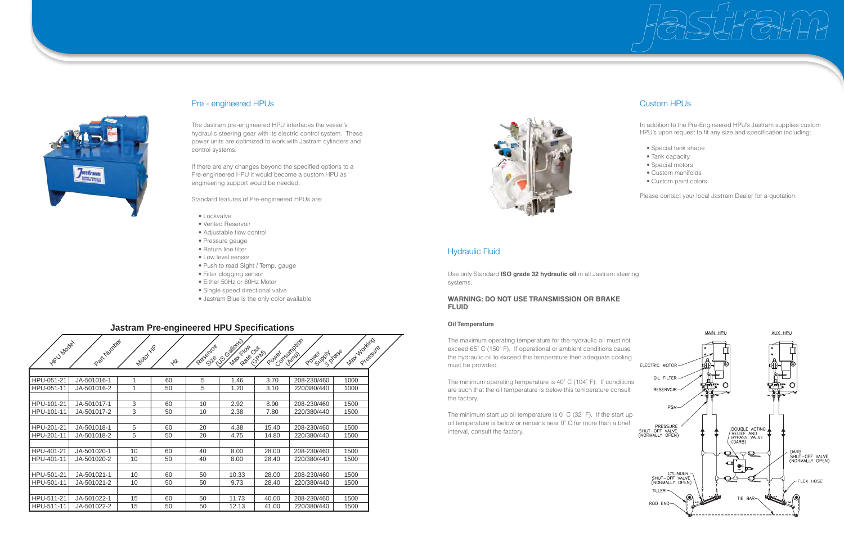

### Pre - engineered HPUs

The Jastram pre-engineered HPU interfaces the vessel's hydraulic steering gear with its electric control system. These power units are optimized to work with Jastram cylinders and control systems.

If there are any changes beyond the specified options to a Pre-engineered HPU it would become a custom HPU as engineering support would be needed.

Standard features of Pre-engineered HPUs are:

- Lockvalve
- Vented Reservoir
- Adjustable flow control
- Pressure gauge
- Return line filter
- Low level sensor
- Push to read Sight / Temp. gauge
- Filter clogging sensor
- Either 50Hz or 60Hz Motor
- Single speed directional valve
- Jastram Blue is the only color available

The minimum start up oil temperature is 0° C (32° F). If the start up oil temperature is below or remains near 0˚ C for more than a brief interval, consult the factory.



Use only Standard **ISO grade 32 hydraulic oil** in all Jastram steering systems.

#### **WARNING: DO NOT USE TRANSMISSION OR BRAKE FLUID**

#### **Oil Temperature**

The maximum operating temperature for the hydraulic oil must not exceed 65˚ C (150˚ F). If operational or ambient conditions cause the hydraulic oil to exceed this temperature then adequate cooling must be provided.

The minimum operating temperature is 40˚ C (104˚ F). If conditions are such that the oil temperature is below this temperature consult the factory.

# Custom HPUs

### **Jastram Pre-engineered HPU Specifications**

| HPU Model  | Part Number | Motor YR | $x^2$ | Reservoir | 1018 55 - 404 Rds 031 |       | Poure (simplion<br>Poider DN Dase | Max Working<br>Pressure |  |
|------------|-------------|----------|-------|-----------|-----------------------|-------|-----------------------------------|-------------------------|--|
| HPU-051-21 | JA-501016-1 |          | 60    | 5         | 1.46                  | 3.70  | 208-230/460                       | 1000                    |  |
| HPU-051-11 | JA-501016-2 |          | 50    | 5         | 1.20                  | 3.10  | 220/380/440                       | 1000                    |  |
|            |             |          |       |           |                       |       |                                   |                         |  |
| HPU-101-21 | JA-501017-1 | 3        | 60    | 10        | 2.92                  | 8.90  | 208-230/460                       | 1500                    |  |
| HPU-101-11 | JA-501017-2 | 3        | 50    | 10        | 2.38                  | 7.80  | 220/380/440                       | 1500                    |  |
|            |             |          |       |           |                       |       |                                   |                         |  |
| HPU-201-21 | JA-501018-1 | 5        | 60    | 20        | 4.38                  | 15.40 | 208-230/460                       | 1500                    |  |
| HPU-201-11 | JA-501018-2 | 5        | 50    | 20        | 4.75                  | 14.80 | 220/380/440                       | 1500                    |  |
|            |             |          |       |           |                       |       |                                   |                         |  |
| HPU-401-21 | JA-501020-1 | 10       | 60    | 40        | 8.00                  | 28.00 | 208-230/460                       | 1500                    |  |
| HPU-401-11 | JA-501020-2 | 10       | 50    | 40        | 8.00                  | 28.40 | 220/380/440                       | 1500                    |  |
| HPU-501-21 | JA-501021-1 | 10       | 60    | 50        | 10.33                 | 28.00 | 208-230/460                       | 1500                    |  |
| HPU-501-11 | JA-501021-2 | 10       | 50    | 50        | 9.73                  | 28.40 | 220/380/440                       | 1500                    |  |
|            |             |          |       |           |                       |       |                                   |                         |  |
| HPU-511-21 | JA-501022-1 | 15       | 60    | 50        | 11.73                 | 40.00 | 208-230/460                       | 1500                    |  |
| HPU-511-11 | JA-501022-2 | 15       | 50    | 50        | 12.13                 | 41.00 | 220/380/440                       | 1500                    |  |



In addition to the Pre-Engineered HPU's Jastram supplies custom HPU's upon request to fit any size and specification including:

- Special tank shape
- Tank capacity
- Special motors
- Custom manifolds
- Custom paint colors

Please contact your local Jastram Dealer for a quotation.



## Hydraulic Fluid